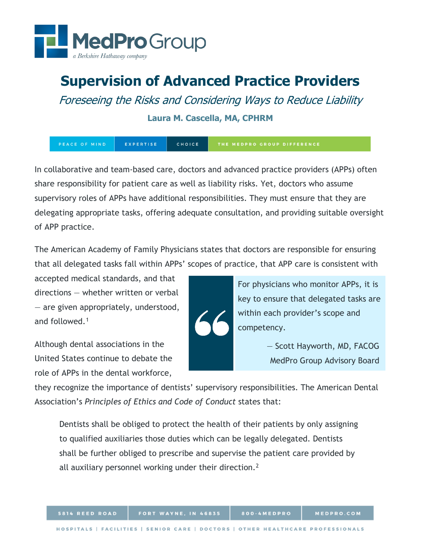

# **Supervision of Advanced Practice Providers**

Foreseeing the Risks and Considering Ways to Reduce Liability

**Laura M. Cascella, MA, CPHRM**

EXPERTISE CHOICE THE MEDPRO GROUP DIFFERENCE

In collaborative and team-based care, doctors and advanced practice providers (APPs) often share responsibility for patient care as well as liability risks. Yet, doctors who assume supervisory roles of APPs have additional responsibilities. They must ensure that they are delegating appropriate tasks, offering adequate consultation, and providing suitable oversight of APP practice.

The American Academy of Family Physicians states that doctors are responsible for ensuring that all delegated tasks fall within APPs' scopes of practice, that APP care is consistent with

accepted medical standards, and that directions — whether written or verbal — are given appropriately, understood, and followed.[1](#page-2-0)

Although dental associations in the United States continue to debate the role of APPs in the dental workforce,



For physicians who monitor APPs, it is key to ensure that delegated tasks are within each provider's scope and competency.

> — Scott Hayworth, MD, FACOG MedPro Group Advisory Board

they recognize the importance of dentists' supervisory responsibilities. The American Dental Association's *Principles of Ethics and Code of Conduct* states that:

Dentists shall be obliged to protect the health of their patients by only assigning to qualified auxiliaries those duties which can be legally delegated. Dentists shall be further obliged to prescribe and supervise the patient care provided by all auxiliary personnel working under their direction.<sup>[2](#page-2-1)</sup>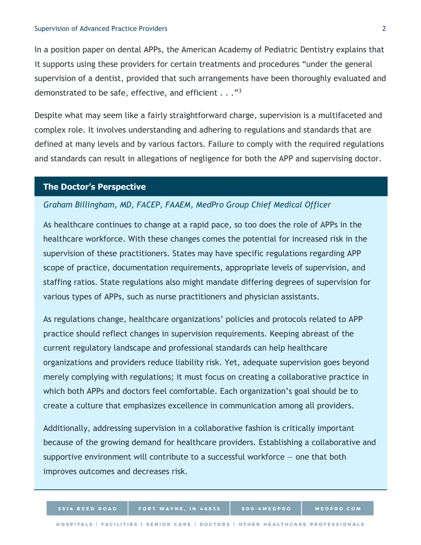In a position paper on dental APPs, the American Academy of Pediatric Dentistry explains that it supports using these providers for certain treatments and procedures "under the general supervision of a dentist, provided that such arrangements have been thoroughly evaluated and demonstrated to be safe, effective, and efficient . . ."[3](#page-2-2)

Despite what may seem like a fairly straightforward charge, supervision is a multifaceted and complex role. It involves understanding and adhering to regulations and standards that are defined at many levels and by various factors. Failure to comply with the required regulations and standards can result in allegations of negligence for both the APP and supervising doctor.

#### **The Doctor's Perspective**

#### *Graham Billingham, MD, FACEP, FAAEM, MedPro Group Chief Medical Officer*

As healthcare continues to change at a rapid pace, so too does the role of APPs in the healthcare workforce. With these changes comes the potential for increased risk in the supervision of these practitioners. States may have specific regulations regarding APP scope of practice, documentation requirements, appropriate levels of supervision, and staffing ratios. State regulations also might mandate differing degrees of supervision for various types of APPs, such as nurse practitioners and physician assistants.

As regulations change, healthcare organizations' policies and protocols related to APP practice should reflect changes in supervision requirements. Keeping abreast of the current regulatory landscape and professional standards can help healthcare organizations and providers reduce liability risk. Yet, adequate supervision goes beyond merely complying with regulations; it must focus on creating a collaborative practice in which both APPs and doctors feel comfortable. Each organization's goal should be to create a culture that emphasizes excellence in communication among all providers.

Additionally, addressing supervision in a collaborative fashion is critically important because of the growing demand for healthcare providers. Establishing a collaborative and supportive environment will contribute to a successful workforce  $-$  one that both improves outcomes and decreases risk.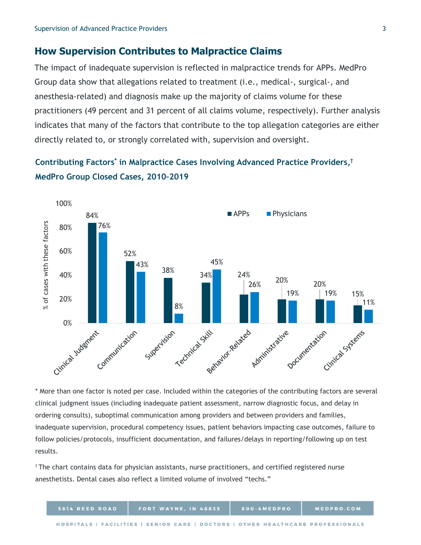## **How Supervision Contributes to Malpractice Claims**

<span id="page-2-0"></span>The impact of inadequate supervision is reflected in malpractice trends for APPs. MedPro Group data show that allegations related to treatment (i.e., medical-, surgical-, and anesthesia-related) and diagnosis make up the majority of claims volume for these practitioners (49 percent and 31 percent of all claims volume, respectively). Further analysis indicates that many of the factors that contribute to the top allegation categories are either directly related to, or strongly correlated with, supervision and oversight.

## <span id="page-2-2"></span><span id="page-2-1"></span>**Contributing Factors\* in Malpractice Cases Involving Advanced Practice Providers,† MedPro Group Closed Cases, 2010–2019**



\* More than one factor is noted per case. Included within the categories of the contributing factors are several clinical judgment issues (including inadequate patient assessment, narrow diagnostic focus, and delay in ordering consults), suboptimal communication among providers and between providers and families, inadequate supervision, procedural competency issues, patient behaviors impacting case outcomes, failure to follow policies/protocols, insufficient documentation, and failures/delays in reporting/following up on test results.

† The chart contains data for physician assistants, nurse practitioners, and certified registered nurse anesthetists. Dental cases also reflect a limited volume of involved "techs."

| 5814 REED ROAD | <b>FORT WAYNE, IN 46835</b>                                                     | 800-4MEDPRO | MEDPRO.COM |
|----------------|---------------------------------------------------------------------------------|-------------|------------|
|                | HOSPITALS   FACILITIES   SENIOR CARE   DOCTORS   OTHER HEALTHCARE PROFESSIONALS |             |            |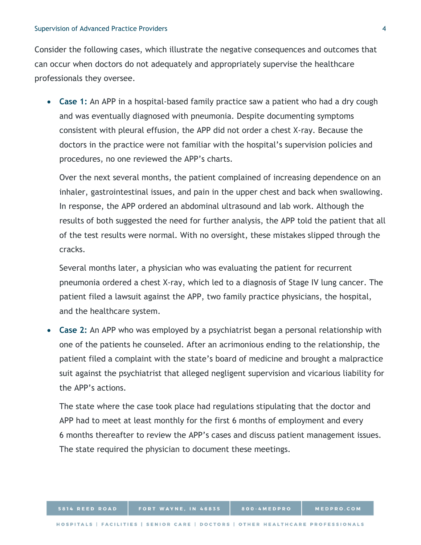Consider the following cases, which illustrate the negative consequences and outcomes that can occur when doctors do not adequately and appropriately supervise the healthcare professionals they oversee.

• **Case 1:** An APP in a hospital-based family practice saw a patient who had a dry cough and was eventually diagnosed with pneumonia. Despite documenting symptoms consistent with pleural effusion, the APP did not order a chest X-ray. Because the doctors in the practice were not familiar with the hospital's supervision policies and procedures, no one reviewed the APP's charts.

Over the next several months, the patient complained of increasing dependence on an inhaler, gastrointestinal issues, and pain in the upper chest and back when swallowing. In response, the APP ordered an abdominal ultrasound and lab work. Although the results of both suggested the need for further analysis, the APP told the patient that all of the test results were normal. With no oversight, these mistakes slipped through the cracks.

Several months later, a physician who was evaluating the patient for recurrent pneumonia ordered a chest X-ray, which led to a diagnosis of Stage IV lung cancer. The patient filed a lawsuit against the APP, two family practice physicians, the hospital, and the healthcare system.

• **Case 2:** An APP who was employed by a psychiatrist began a personal relationship with one of the patients he counseled. After an acrimonious ending to the relationship, the patient filed a complaint with the state's board of medicine and brought a malpractice suit against the psychiatrist that alleged negligent supervision and vicarious liability for the APP's actions.

The state where the case took place had regulations stipulating that the doctor and APP had to meet at least monthly for the first 6 months of employment and every 6 months thereafter to review the APP's cases and discuss patient management issues. The state required the physician to document these meetings.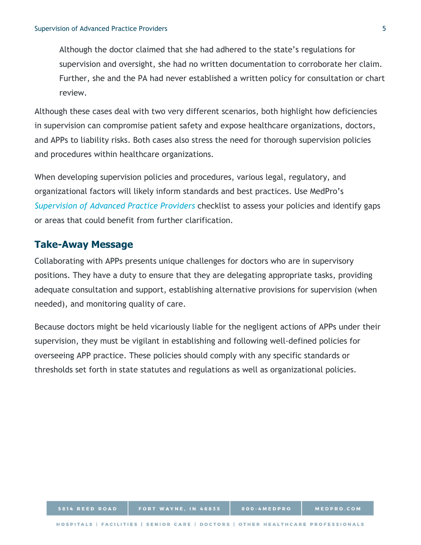Although the doctor claimed that she had adhered to the state's regulations for supervision and oversight, she had no written documentation to corroborate her claim. Further, she and the PA had never established a written policy for consultation or chart review.

Although these cases deal with two very different scenarios, both highlight how deficiencies in supervision can compromise patient safety and expose healthcare organizations, doctors, and APPs to liability risks. Both cases also stress the need for thorough supervision policies and procedures within healthcare organizations.

When developing supervision policies and procedures, various legal, regulatory, and organizational factors will likely inform standards and best practices. Use MedPro's *[Supervision of Advanced Practice Providers](https://www.medpro.com/documents/10502/2899801/Checklist_Supervision+of+Advanced+Practice+Providers.pdf)* checklist to assess your policies and identify gaps or areas that could benefit from further clarification.

#### **Take-Away Message**

Collaborating with APPs presents unique challenges for doctors who are in supervisory positions. They have a duty to ensure that they are delegating appropriate tasks, providing adequate consultation and support, establishing alternative provisions for supervision (when needed), and monitoring quality of care.

Because doctors might be held vicariously liable for the negligent actions of APPs under their supervision, they must be vigilant in establishing and following well-defined policies for overseeing APP practice. These policies should comply with any specific standards or thresholds set forth in state statutes and regulations as well as organizational policies.